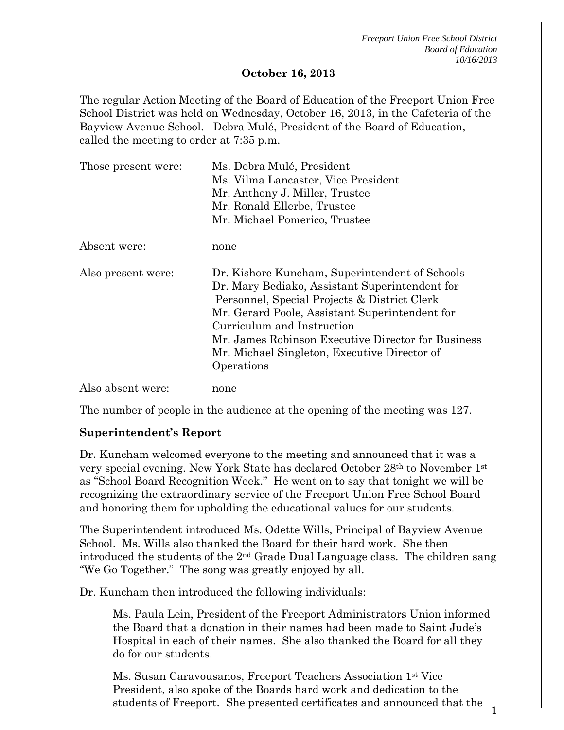*Freeport Union Free School District Board of Education 10/16/2013*

#### **October 16, 2013**

The regular Action Meeting of the Board of Education of the Freeport Union Free School District was held on Wednesday, October 16, 2013, in the Cafeteria of the Bayview Avenue School. Debra Mulé, President of the Board of Education, called the meeting to order at 7:35 p.m.

| Those present were: | Ms. Debra Mulé, President                                                                                                                                                                                                                                                                                                                            |  |  |
|---------------------|------------------------------------------------------------------------------------------------------------------------------------------------------------------------------------------------------------------------------------------------------------------------------------------------------------------------------------------------------|--|--|
|                     | Ms. Vilma Lancaster, Vice President                                                                                                                                                                                                                                                                                                                  |  |  |
|                     | Mr. Anthony J. Miller, Trustee                                                                                                                                                                                                                                                                                                                       |  |  |
|                     | Mr. Ronald Ellerbe, Trustee                                                                                                                                                                                                                                                                                                                          |  |  |
|                     | Mr. Michael Pomerico, Trustee                                                                                                                                                                                                                                                                                                                        |  |  |
| Absent were:        | none                                                                                                                                                                                                                                                                                                                                                 |  |  |
| Also present were:  | Dr. Kishore Kuncham, Superintendent of Schools<br>Dr. Mary Bediako, Assistant Superintendent for<br>Personnel, Special Projects & District Clerk<br>Mr. Gerard Poole, Assistant Superintendent for<br>Curriculum and Instruction<br>Mr. James Robinson Executive Director for Business<br>Mr. Michael Singleton, Executive Director of<br>Operations |  |  |
| Also absent were:   | none                                                                                                                                                                                                                                                                                                                                                 |  |  |

The number of people in the audience at the opening of the meeting was 127.

#### **Superintendent's Report**

Dr. Kuncham welcomed everyone to the meeting and announced that it was a very special evening. New York State has declared October 28th to November 1st as "School Board Recognition Week." He went on to say that tonight we will be recognizing the extraordinary service of the Freeport Union Free School Board and honoring them for upholding the educational values for our students.

The Superintendent introduced Ms. Odette Wills, Principal of Bayview Avenue School. Ms. Wills also thanked the Board for their hard work. She then introduced the students of the 2nd Grade Dual Language class. The children sang "We Go Together." The song was greatly enjoyed by all.

Dr. Kuncham then introduced the following individuals:

Ms. Paula Lein, President of the Freeport Administrators Union informed the Board that a donation in their names had been made to Saint Jude's Hospital in each of their names. She also thanked the Board for all they do for our students.

Ms. Susan Caravousanos, Freeport Teachers Association 1st Vice President, also spoke of the Boards hard work and dedication to the students of Freeport. She presented certificates and announced that the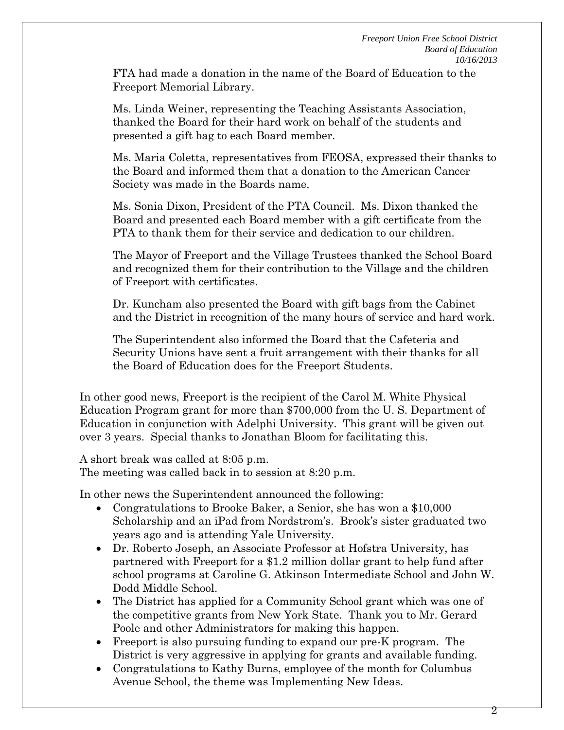FTA had made a donation in the name of the Board of Education to the Freeport Memorial Library.

Ms. Linda Weiner, representing the Teaching Assistants Association, thanked the Board for their hard work on behalf of the students and presented a gift bag to each Board member.

Ms. Maria Coletta, representatives from FEOSA, expressed their thanks to the Board and informed them that a donation to the American Cancer Society was made in the Boards name.

Ms. Sonia Dixon, President of the PTA Council. Ms. Dixon thanked the Board and presented each Board member with a gift certificate from the PTA to thank them for their service and dedication to our children.

The Mayor of Freeport and the Village Trustees thanked the School Board and recognized them for their contribution to the Village and the children of Freeport with certificates.

Dr. Kuncham also presented the Board with gift bags from the Cabinet and the District in recognition of the many hours of service and hard work.

The Superintendent also informed the Board that the Cafeteria and Security Unions have sent a fruit arrangement with their thanks for all the Board of Education does for the Freeport Students.

In other good news, Freeport is the recipient of the Carol M. White Physical Education Program grant for more than \$700,000 from the U. S. Department of Education in conjunction with Adelphi University. This grant will be given out over 3 years. Special thanks to Jonathan Bloom for facilitating this.

A short break was called at 8:05 p.m.

The meeting was called back in to session at 8:20 p.m.

In other news the Superintendent announced the following:

- Congratulations to Brooke Baker, a Senior, she has won a \$10,000 Scholarship and an iPad from Nordstrom's. Brook's sister graduated two years ago and is attending Yale University.
- Dr. Roberto Joseph, an Associate Professor at Hofstra University, has partnered with Freeport for a \$1.2 million dollar grant to help fund after school programs at Caroline G. Atkinson Intermediate School and John W. Dodd Middle School.
- The District has applied for a Community School grant which was one of the competitive grants from New York State. Thank you to Mr. Gerard Poole and other Administrators for making this happen.
- Freeport is also pursuing funding to expand our pre-K program. The District is very aggressive in applying for grants and available funding.
- Congratulations to Kathy Burns, employee of the month for Columbus Avenue School, the theme was Implementing New Ideas.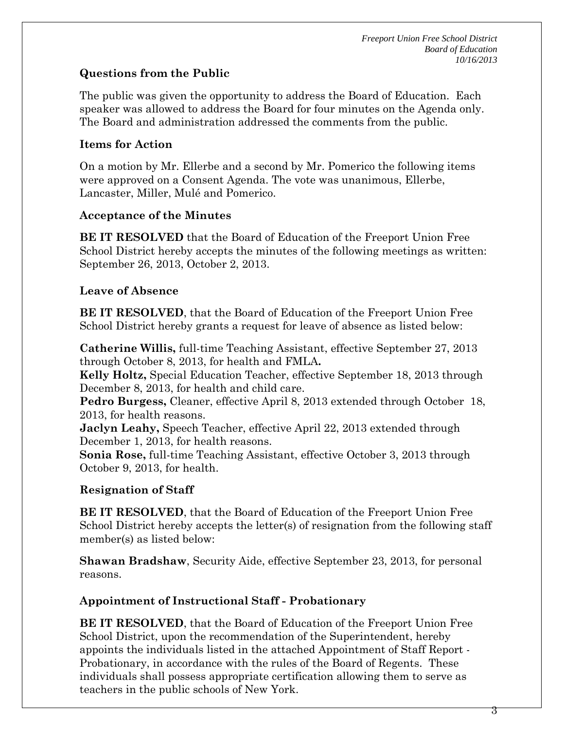### **Questions from the Public**

The public was given the opportunity to address the Board of Education. Each speaker was allowed to address the Board for four minutes on the Agenda only. The Board and administration addressed the comments from the public.

### **Items for Action**

On a motion by Mr. Ellerbe and a second by Mr. Pomerico the following items were approved on a Consent Agenda. The vote was unanimous, Ellerbe, Lancaster, Miller, Mulé and Pomerico.

### **Acceptance of the Minutes**

**BE IT RESOLVED** that the Board of Education of the Freeport Union Free School District hereby accepts the minutes of the following meetings as written: September 26, 2013, October 2, 2013.

### **Leave of Absence**

**BE IT RESOLVED**, that the Board of Education of the Freeport Union Free School District hereby grants a request for leave of absence as listed below:

**Catherine Willis,** full-time Teaching Assistant, effective September 27, 2013 through October 8, 2013, for health and FMLA**.**

**Kelly Holtz,** Special Education Teacher, effective September 18, 2013 through December 8, 2013, for health and child care.

**Pedro Burgess,** Cleaner, effective April 8, 2013 extended through October 18, 2013, for health reasons.

**Jaclyn Leahy,** Speech Teacher, effective April 22, 2013 extended through December 1, 2013, for health reasons.

**Sonia Rose,** full-time Teaching Assistant, effective October 3, 2013 through October 9, 2013, for health.

### **Resignation of Staff**

**BE IT RESOLVED**, that the Board of Education of the Freeport Union Free School District hereby accepts the letter(s) of resignation from the following staff member(s) as listed below:

**Shawan Bradshaw**, Security Aide, effective September 23, 2013, for personal reasons.

### **Appointment of Instructional Staff - Probationary**

**BE IT RESOLVED**, that the Board of Education of the Freeport Union Free School District, upon the recommendation of the Superintendent, hereby appoints the individuals listed in the attached Appointment of Staff Report - Probationary, in accordance with the rules of the Board of Regents. These individuals shall possess appropriate certification allowing them to serve as teachers in the public schools of New York.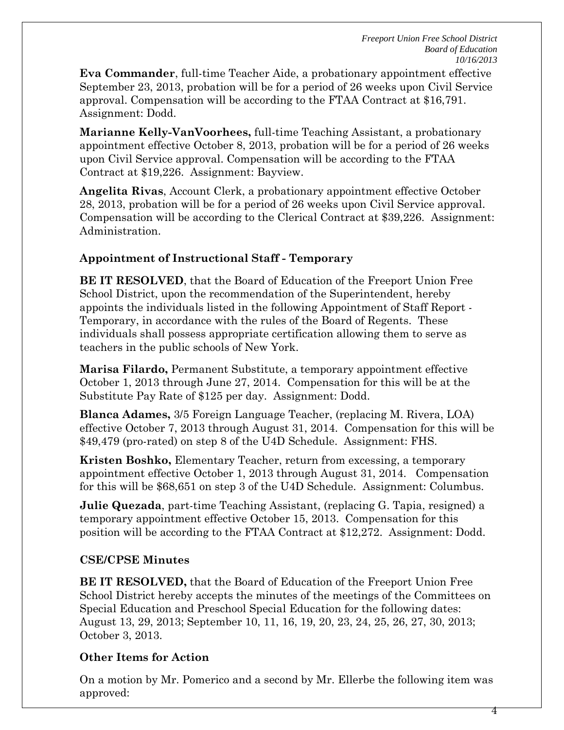**Eva Commander**, full-time Teacher Aide, a probationary appointment effective September 23, 2013, probation will be for a period of 26 weeks upon Civil Service approval. Compensation will be according to the FTAA Contract at \$16,791. Assignment: Dodd.

**Marianne Kelly-VanVoorhees,** full-time Teaching Assistant, a probationary appointment effective October 8, 2013, probation will be for a period of 26 weeks upon Civil Service approval. Compensation will be according to the FTAA Contract at \$19,226. Assignment: Bayview.

**Angelita Rivas**, Account Clerk, a probationary appointment effective October 28, 2013, probation will be for a period of 26 weeks upon Civil Service approval. Compensation will be according to the Clerical Contract at \$39,226. Assignment: Administration.

# **Appointment of Instructional Staff - Temporary**

**BE IT RESOLVED**, that the Board of Education of the Freeport Union Free School District, upon the recommendation of the Superintendent, hereby appoints the individuals listed in the following Appointment of Staff Report - Temporary, in accordance with the rules of the Board of Regents. These individuals shall possess appropriate certification allowing them to serve as teachers in the public schools of New York.

**Marisa Filardo,** Permanent Substitute, a temporary appointment effective October 1, 2013 through June 27, 2014. Compensation for this will be at the Substitute Pay Rate of \$125 per day. Assignment: Dodd.

**Blanca Adames,** 3/5 Foreign Language Teacher, (replacing M. Rivera, LOA) effective October 7, 2013 through August 31, 2014. Compensation for this will be \$49,479 (pro-rated) on step 8 of the U4D Schedule. Assignment: FHS.

**Kristen Boshko,** Elementary Teacher, return from excessing, a temporary appointment effective October 1, 2013 through August 31, 2014. Compensation for this will be \$68,651 on step 3 of the U4D Schedule. Assignment: Columbus.

**Julie Quezada**, part-time Teaching Assistant, (replacing G. Tapia, resigned) a temporary appointment effective October 15, 2013. Compensation for this position will be according to the FTAA Contract at \$12,272. Assignment: Dodd.

# **CSE/CPSE Minutes**

**BE IT RESOLVED,** that the Board of Education of the Freeport Union Free School District hereby accepts the minutes of the meetings of the Committees on Special Education and Preschool Special Education for the following dates: August 13, 29, 2013; September 10, 11, 16, 19, 20, 23, 24, 25, 26, 27, 30, 2013; October 3, 2013.

# **Other Items for Action**

On a motion by Mr. Pomerico and a second by Mr. Ellerbe the following item was approved: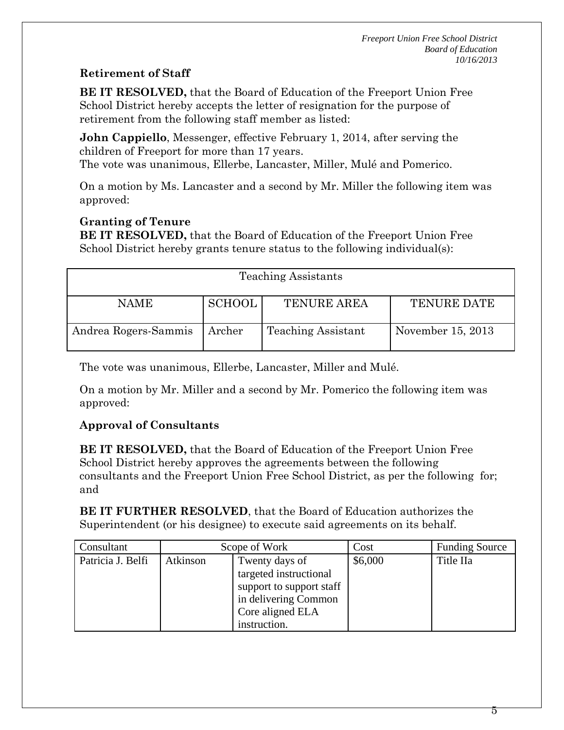# **Retirement of Staff**

**BE IT RESOLVED,** that the Board of Education of the Freeport Union Free School District hereby accepts the letter of resignation for the purpose of retirement from the following staff member as listed:

**John Cappiello**, Messenger, effective February 1, 2014, after serving the children of Freeport for more than 17 years. The vote was unanimous, Ellerbe, Lancaster, Miller, Mulé and Pomerico.

On a motion by Ms. Lancaster and a second by Mr. Miller the following item was approved:

# **Granting of Tenure**

**BE IT RESOLVED,** that the Board of Education of the Freeport Union Free School District hereby grants tenure status to the following individual(s):

| <b>Teaching Assistants</b> |               |                           |                    |  |  |  |
|----------------------------|---------------|---------------------------|--------------------|--|--|--|
| <b>NAME</b>                | <b>SCHOOL</b> | <b>TENURE AREA</b>        | <b>TENURE DATE</b> |  |  |  |
| Andrea Rogers-Sammis       | Archer        | <b>Teaching Assistant</b> | November 15, 2013  |  |  |  |

The vote was unanimous, Ellerbe, Lancaster, Miller and Mulé.

On a motion by Mr. Miller and a second by Mr. Pomerico the following item was approved:

# **Approval of Consultants**

**BE IT RESOLVED,** that the Board of Education of the Freeport Union Free School District hereby approves the agreements between the following consultants and the Freeport Union Free School District, as per the following for; and

**BE IT FURTHER RESOLVED**, that the Board of Education authorizes the Superintendent (or his designee) to execute said agreements on its behalf.

| Consultant        | Scope of Work |                                                                                                                                  | Cost    | <b>Funding Source</b> |
|-------------------|---------------|----------------------------------------------------------------------------------------------------------------------------------|---------|-----------------------|
| Patricia J. Belfi | Atkinson      | Twenty days of<br>targeted instructional<br>support to support staff<br>in delivering Common<br>Core aligned ELA<br>instruction. | \$6,000 | Title IIa             |

 $5\overline{ }$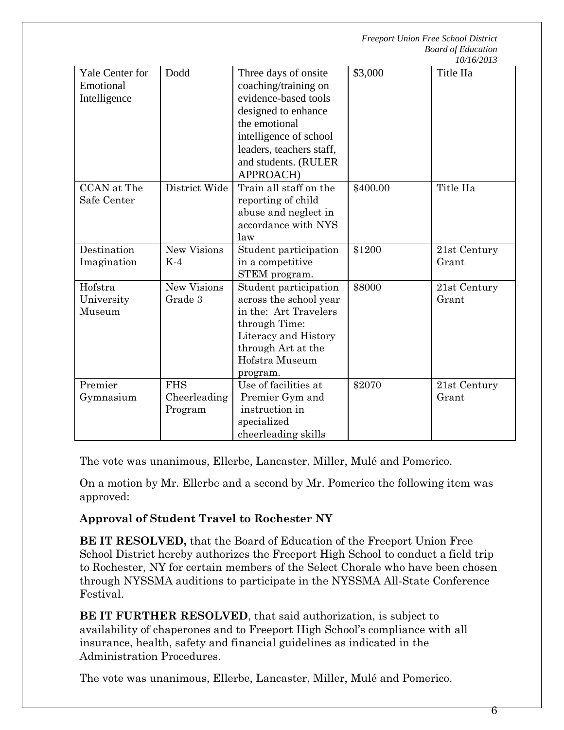*Freeport Union Free School District Board of Education 10/16/2013* Yale Center for Emotional Intelligence Dodd Three days of onsite coaching/training on evidence-based tools designed to enhance the emotional intelligence of school leaders, teachers staff, and students. (RULER APPROACH) \$3,000 Title IIa CCAN at The Safe Center District Wide Train all staff on the reporting of child abuse and neglect in accordance with NYS law \$400.00 Title IIa Destination Imagination New Visions K-4 Student participation in a competitive STEM program. \$1200 21st Century Grant Hofstra University Museum New Visions Grade 3 Student participation across the school year in the: Art Travelers through Time: Literacy and History through Art at the Hofstra Museum program. \$8000 21st Century Grant Premier Gymnasium FHS Cheerleading Program Use of facilities at Premier Gym and instruction in specialized cheerleading skills \$2070 21st Century Grant

The vote was unanimous, Ellerbe, Lancaster, Miller, Mulé and Pomerico.

On a motion by Mr. Ellerbe and a second by Mr. Pomerico the following item was approved:

# **Approval of Student Travel to Rochester NY**

**BE IT RESOLVED,** that the Board of Education of the Freeport Union Free School District hereby authorizes the Freeport High School to conduct a field trip to Rochester, NY for certain members of the Select Chorale who have been chosen through NYSSMA auditions to participate in the NYSSMA All-State Conference Festival.

**BE IT FURTHER RESOLVED**, that said authorization, is subject to availability of chaperones and to Freeport High School's compliance with all insurance, health, safety and financial guidelines as indicated in the Administration Procedures.

The vote was unanimous, Ellerbe, Lancaster, Miller, Mulé and Pomerico.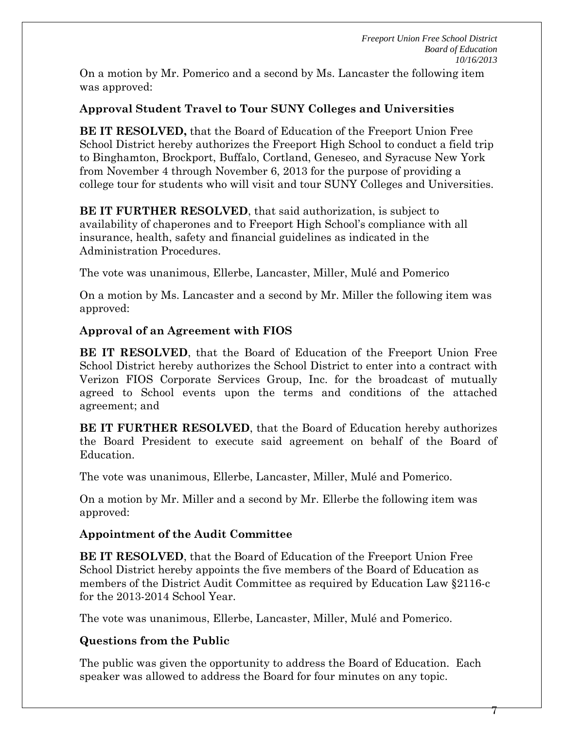On a motion by Mr. Pomerico and a second by Ms. Lancaster the following item was approved:

# **Approval Student Travel to Tour SUNY Colleges and Universities**

**BE IT RESOLVED,** that the Board of Education of the Freeport Union Free School District hereby authorizes the Freeport High School to conduct a field trip to Binghamton, Brockport, Buffalo, Cortland, Geneseo, and Syracuse New York from November 4 through November 6, 2013 for the purpose of providing a college tour for students who will visit and tour SUNY Colleges and Universities.

**BE IT FURTHER RESOLVED**, that said authorization, is subject to availability of chaperones and to Freeport High School's compliance with all insurance, health, safety and financial guidelines as indicated in the Administration Procedures.

The vote was unanimous, Ellerbe, Lancaster, Miller, Mulé and Pomerico

On a motion by Ms. Lancaster and a second by Mr. Miller the following item was approved:

### **Approval of an Agreement with FIOS**

**BE IT RESOLVED**, that the Board of Education of the Freeport Union Free School District hereby authorizes the School District to enter into a contract with Verizon FIOS Corporate Services Group, Inc. for the broadcast of mutually agreed to School events upon the terms and conditions of the attached agreement; and

**BE IT FURTHER RESOLVED**, that the Board of Education hereby authorizes the Board President to execute said agreement on behalf of the Board of Education.

The vote was unanimous, Ellerbe, Lancaster, Miller, Mulé and Pomerico.

On a motion by Mr. Miller and a second by Mr. Ellerbe the following item was approved:

# **Appointment of the Audit Committee**

**BE IT RESOLVED**, that the Board of Education of the Freeport Union Free School District hereby appoints the five members of the Board of Education as members of the District Audit Committee as required by Education Law §2116-c for the 2013-2014 School Year.

The vote was unanimous, Ellerbe, Lancaster, Miller, Mulé and Pomerico.

# **Questions from the Public**

The public was given the opportunity to address the Board of Education. Each speaker was allowed to address the Board for four minutes on any topic.

 $\gamma$